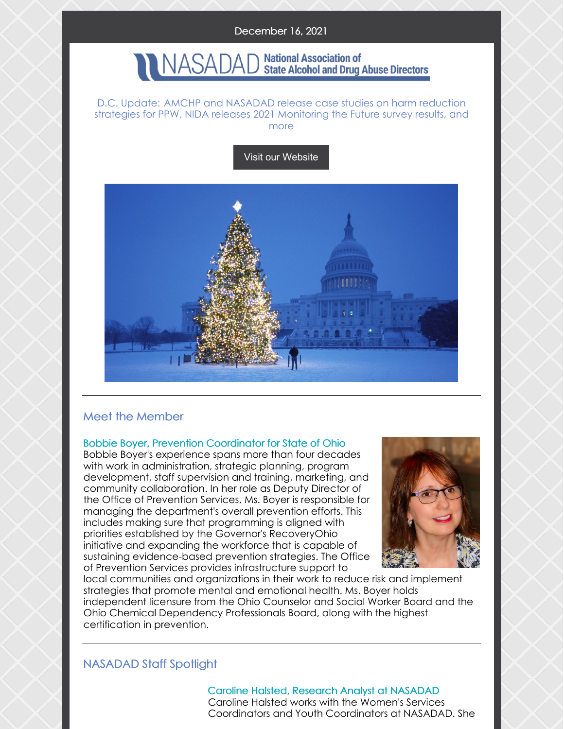### December 16, 2021

#### **National Association of** JASADAI **State Alcohol and Drug Abuse Directors**

D.C. Update: AMCHP and NASADAD release case studies on harm reduction strategies for PPW, NIDA releases 2021 Monitoring the Future survey results, and more

Visit our [Website](http://www.nasadad.org)



# Meet the Member

### Bobbie Boyer, Prevention Coordinator for State of Ohio

Bobbie Boyer's experience spans more than four decades with work in administration, strategic planning, program development, staff supervision and training, marketing, and community collaboration. In her role as Deputy Director of the Office of Prevention Services, Ms. Boyer is responsible for managing the department's overall prevention efforts. This includes making sure that programming is aligned with priorities established by the Governor's RecoveryOhio initiative and expanding the workforce that is capable of sustaining evidence-based prevention strategies. The Office of Prevention Services provides infrastructure support to



local communities and organizations in their work to reduce risk and implement strategies that promote mental and emotional health. Ms. Boyer holds independent licensure from the Ohio Counselor and Social Worker Board and the Ohio Chemical Dependency Professionals Board, along with the highest certification in prevention.

# NASADAD Staff Spotlight

Caroline Halsted, Research Analyst at NASADAD Caroline Halsted works with the Women's Services Coordinators and Youth Coordinators at NASADAD. She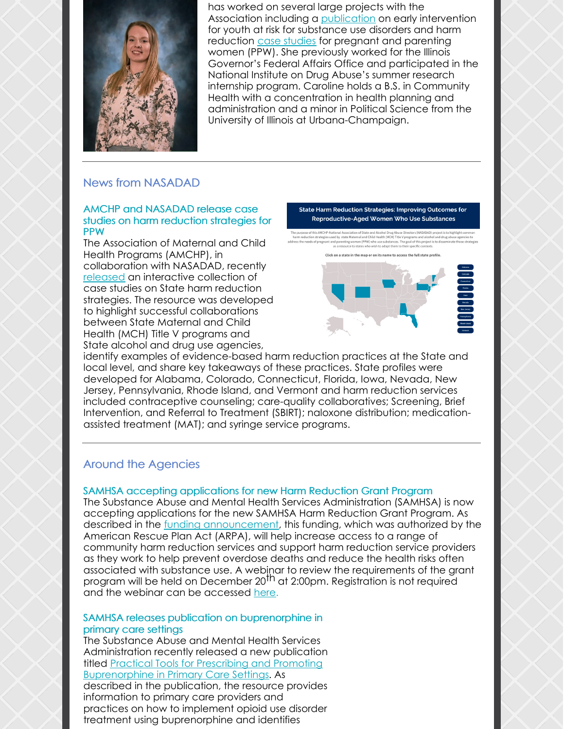

has worked on several large projects with the Association including a [publication](https://nasadad.org/2021/02/reaching-youth-at-risk-for-substance-use-and-misuse-early-intervention-resources-and-practices/) on early intervention for youth at risk for substance use disorders and harm reduction case [studies](https://infogram.com/state-harm-reduction-strategies-1h7k230lmzdmv2x?live) for pregnant and parenting women (PPW). She previously worked for the Illinois Governor's Federal Affairs Office and participated in the National Institute on Drug Abuse's summer research internship program. Caroline holds a B.S. in Community Health with a concentration in health planning and administration and a minor in Political Science from the University of Illinois at Urbana-Champaign.

# News from NASADAD

### AMCHP and NASADAD release case studies on harm reduction strategies for PPW

The Association of Maternal and Child Health Programs (AMCHP), in collaboration with NASADAD, recently [released](https://infogram.com/state-harm-reduction-strategies-1h7k230lmzdmv2x?live) an interactive collection of case studies on State harm reduction strategies. The resource was developed to highlight successful collaborations between State Maternal and Child Health (MCH) Title V programs and State alcohol and drug use agencies,

**State Harm Reduction Strategies: Improving Outcomes for Reproductive-Aged Women Who Use Substances** 

and Child Health (MCH) Title V progra



identify examples of evidence-based harm reduction practices at the State and local level, and share key takeaways of these practices. State profiles were developed for Alabama, Colorado, Connecticut, Florida, Iowa, Nevada, New Jersey, Pennsylvania, Rhode Island, and Vermont and harm reduction services included contraceptive counseling; care-quality collaboratives; Screening, Brief Intervention, and Referral to Treatment (SBIRT); naloxone distribution; medicationassisted treatment (MAT); and syringe service programs.

# Around the Agencies

# SAMHSA accepting applications for new Harm Reduction Grant Program

The Substance Abuse and Mental Health Services Administration (SAMHSA) is now accepting applications for the new SAMHSA Harm Reduction Grant Program. As described in the funding [announcement](https://www.samhsa.gov/grants/grant-announcements/sp-22-001?utm_source=SAMHSA&utm_campaign=52c71eff8a-SAMHSA_Announcement_2021_12_15_1600569&utm_medium=email&utm_term=0_ee1c4b138c-52c71eff8a-169197670), this funding, which was authorized by the American Rescue Plan Act (ARPA), will help increase access to a range of community harm reduction services and support harm reduction service providers as they work to help prevent overdose deaths and reduce the health risks often associated with substance use. A webinar to review the requirements of the grant program will be held on December 20<sup>th</sup> at 2:00pm. Registration is not required and the webinar can be accessed [here](https://www.zoomgov.com/j/1607325994?pwd=RGJkNUFRZ28yRDIxT3dka1dRd2JEQT09&utm_source=SAMHSA&utm_campaign=52c71eff8a-SAMHSA_Announcement_2021_12_15_1600569&utm_medium=email&utm_term=0_ee1c4b138c-52c71eff8a-169197670#success).

### SAMHSA releases publication on buprenorphine in primary care settings

The Substance Abuse and Mental Health Services Administration recently released a new publication titled Practical Tools for Prescribing and Promoting [Buprenorphine](https://store.samhsa.gov/product/practical-tools-for-prescribing-promoting-buprenorphine-primary-care-settings/pep21-06-01-002?utm_source=SAMHSA&utm_campaign=640129dd74-New_Publication_2021_12_14_1600561&utm_medium=email&utm_term=0_ee1c4b138c-640129dd74-167785569) in Primary Care Settings. As described in the publication, the resource provides information to primary care providers and practices on how to implement opioid use disorder treatment using buprenorphine and identifies